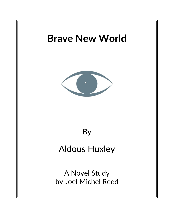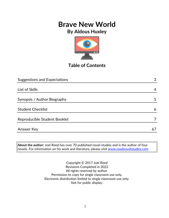# **Brave New World**

### **By Aldous Huxley**



### **Table of Contents**

| <b>Suggestions and Expectations</b> | 3  |
|-------------------------------------|----|
|                                     |    |
| List of Skills                      | 4  |
|                                     |    |
| Synopsis / Author Biography         | 5  |
|                                     |    |
| <b>Student Checklist</b>            | 6  |
| Reproducible Student Booklet        |    |
|                                     |    |
| <b>Answer Key</b>                   | 67 |
|                                     |    |

**About the author:** Joel Reed has over 70 published novel studies and is the author of four novels. For information on his work and literature, please visit [www.reednovelstudies.com](http://www.reednovelstudies.com/)

> Copyright © 2017 Joel Reed Revisions Completed in 2022 All rights reserved by author. Permission to copy for single classroom use only. Electronic distribution limited to single classroom use only. Not for public display.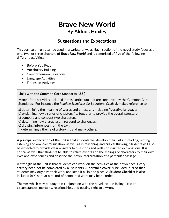### **Suggestions and Expectations**

This curriculum unit can be used in a variety of ways. Each section of the novel study focuses on one, two, or three chapters of *Brave New World* and is comprised of five of the following different activities:

- Before You Read
- Vocabulary Building
- Comprehension Questions
- Language Activities
- **Extension Activities**

#### **Links with the Common Core Standards (U.S.)**

Many of the activities included in this curriculum unit are supported by the Common Core Standards. For instance the *Reading Standards for Literature, Grade 5*, makes reference to

a) determining the meaning of words and phrases. . . including figurative language;

b) explaining how a series of chapters fits together to provide the overall structure;

c) compare and contrast two characters;

d) determine how characters … respond to challenges;

e) drawing inferences from the text;

f) determining a theme of a story . . . **and many others.**

A principal expectation of the unit is that students will develop their skills in reading, writing, listening and oral communication, as well as in reasoning and critical thinking. Students will also be expected to provide clear answers to questions and well-constructed explanations. It is critical as well that students be able to relate events and the feelings of characters to their own lives and experiences and describe their own interpretation of a particular passage.

A strength of the unit is that students can work on the activities at their own pace. Every activity need not be completed by all students. A **portfolio cover** is included (p.7) so that students may organize their work and keep it all in one place. A **Student Checklist** is also included (p.6) so that a record of completed work may be recorded.

**Themes** which may be taught in conjunction with the novel include facing difficult circumstances, mortality, relationships, and putting right to a wrong.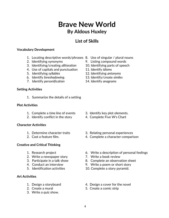### **List of Skills**

#### **Vocabulary Development**

- 1. Locating descriptive words/phrases 8. Use of singular / plural nouns
- 
- 3. Identifying/creating *alliteration* 10. Identifying parts of speech
- 4. Use of capitals and punctuation 11. Identify *idioms*
- 
- 6. Identify *foreshadowing*. 13. Identify/create *similes*
- 7. Identify *personification* 14. Identify *anagrams*

#### **Setting Activities**

1. Summarize the details of a setting

#### **Plot Activities**

- 1. Complete a *time line* of events 3. Identify key plot elements*.*
- 2. Identify conflict in the story 4. Complete Five W's Chart

#### **Character Activities**

- 
- 

#### **Creative and Critical Thinking**

- 
- 2. Write a newspaper story **7. Write a book review**
- 
- 
- 

#### **Art Activities**

- 
- 
- 3. Write a quiz show.
- 
- 2. Identifying synonyms 9. Listing compound words
	-
	-
- 5. Identifying *syllables* 12. Identifying *antonyms*
	-
	-

- 
- 
- 1. Determine character traits 3. Relating personal experiences
- 2. Cast a feature film. 4. Complete a character comparison
- 1. Research project 6. Write a description of personal feelings
	-
- 3. Participate in a talk show 8. Complete an observation sheet
- 4. Conduct an interview 9. Write a poem or short story
- 5. Identification activities 10. Complete a story pyramid.
- 1. Design a storyboard 4. Design a cover for the novel
- 2. Create a mural 2. Create a comic strip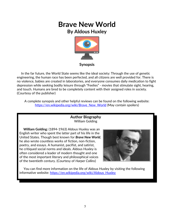

 In the far future, the World State seems like the ideal society: Through the use of genetic engineering, the human race has been perfected, and all citizens are well provided for. There is no violence, babies are created in laboratories, and everyone consumes daily medication to fight depression while seeking bodily leisure through "Feelies" - movies that stimulate sight, hearing, and touch. Humans are bred to be completely content with their assigned roles in society. (Courtesy of the publisher)

A complete synopsis and other helpful reviews can be found on the following website: [https://en.wikipedia.org/wiki/Brave\\_New\\_World](https://en.wikipedia.org/wiki/Brave_New_World) (May contain spoilers)

### **Author Biography** William Golding

 **William Golding:** (1894-1963) Aldous Huxley was an English writer who spent the latter part of his life in the United States. Though best known for *Brave New World*, he also wrote countless works of fiction, non-fiction, poetry, and essays. A humanist, pacifist, and satirist, he critiqued social norms and ideals. Aldous Huxley is often considered a leader of modern thought and one of the most important literary and philosophical voices of the twentieth century. (Courtesy of *Harper Collins*)



 You can find more information on the life of Aldous Huxley by visiting the following informative website: https://en.wikipedia.org/wiki/Aldous Huxley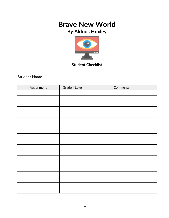# **Brave New World**

## **By Aldous Huxley**



**Student Checklist**

Student Name

| Assignment | Grade / Level | Comments |
|------------|---------------|----------|
|            |               |          |
|            |               |          |
|            |               |          |
|            |               |          |
|            |               |          |
|            |               |          |
|            |               |          |
|            |               |          |
|            |               |          |
|            |               |          |
|            |               |          |
|            |               |          |
|            |               |          |
|            |               |          |
|            |               |          |
|            |               |          |
|            |               |          |
|            |               |          |
|            |               |          |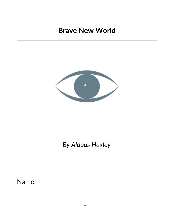# **Brave New World**



# *By Aldous Huxley*

Name: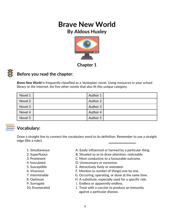

**Chapter 1**



### **Before you read the chapter**:

*Brave New World* is frequently classified as a 'dystopian' novel. Using resources in your school library or the Internet, list five other novels that also fit this unique category.

| Novel 1 | Author 1 |  |
|---------|----------|--|
| Novel 2 | Author 2 |  |
| Novel 3 | Author 3 |  |
| Novel 4 | Author 4 |  |
| Novel 5 | Author 5 |  |



### **Vocabulary:**

Draw a straight line to connect the vocabulary word to its definition. Remember to use a straight edge (like a ruler).

- 
- 
- 
- 
- 
- 
- 
- 
- 
- 
- 1. Simultaneous **A. Easily influenced or harmed by a particular thing.**
- 2. Superfluous **B. Situated so as to draw attention**; noticeable.
- 3. Prominent C. Most conductive to a favourable outcome.
- 4. Inoculated D. Unnecessary or excessive.
- 5. Susceptible E. Attractively lively or animated.
- 6. Vivacious F. Mention (a number of things) one by one.
- 7. Interminable G. Occurring, operating, or done at the same time.
- 8. Optimum **H. A substitute, especially used for a specific role.**
- 9. Surrogate The I. Endless or apparently endless.
- 10. Enumerated J. Treat with a vaccine to produce an immunity against a particular disease.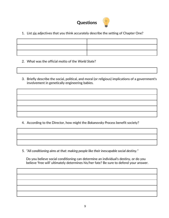# **Questions**



1. List six adjectives that you think accurately describe the setting of Chapter One?

- 2. What was the official motto of the *World State*?
- 3. Briefly describe the social, political, and moral (or religious) implications of a government's involvement in genetically engineering babies.

4. According to the Director, how might the *Bokanovsky Process* benefit society?

5. *"All conditioning aims at that: making people like their inescapable social destiny."*

 Do you believe social conditioning can determine an individual's destiny, or do you believe 'free will' ultimately determines his/her fate? Be sure to defend your answer.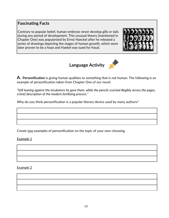### **Fascinating Facts**

Contrary to popular belief, human embryos never develop gills or tails during any period of development. This unusual theory [mentioned in Chapter One] was popularized by Ernst Haeckel after he released a series of drawings depicting the stages of human growth, which were later proven to be a hoax and Haekel was sued for fraud.







*"Still leaning against the incubators he gave them, while the pencils scurried illegibly across the pages, a brief description of the modern fertilizing process."*

Why do you think personification is a popular literary device used by many authors?

Create two examples of personification on the topic of your own choosing.

Example 1

Example 2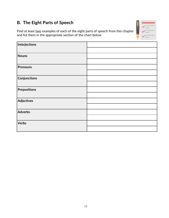### **B. The Eight Parts of Speech**

Find at least two examples of each of the eight parts of speech from this chapter and list them in the appropriate section of the chart below.

| Interjections     |  |
|-------------------|--|
|                   |  |
| <b>Nouns</b>      |  |
|                   |  |
| <b>Pronouns</b>   |  |
|                   |  |
| Conjunctions      |  |
|                   |  |
| Prepositions      |  |
|                   |  |
| <b>Adjectives</b> |  |
|                   |  |
| Adverbs           |  |
|                   |  |
| <b>Verbs</b>      |  |
|                   |  |